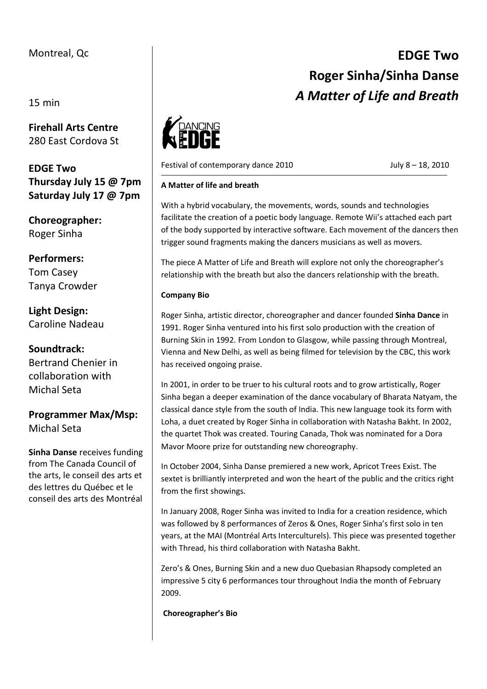## Montreal, Qc

15 min

**Firehall Arts Centre**  280 East Cordova St

**EDGE Two Thursday July 15 @ 7pm Saturday July 17 @ 7pm**

**Choreographer:** Roger Sinha

**Performers:** Tom Casey Tanya Crowder

**Light Design:** Caroline Nadeau

**Soundtrack:** Bertrand Chenier in

collaboration with Michal Seta

**Programmer Max/Msp:**  Michal Seta

**Sinha Danse** receives funding from The Canada Council of the arts, le conseil des arts et des lettres du Québec et le conseil des arts des Montréal



Festival of contemporary dance 2010 July 8 – 18, 2010

**Roger Sinha/Sinha Danse**  *A Matter of Life and Breath*

**EDGE Two** 

## **A Matter of life and breath**

With a hybrid vocabulary, the movements, words, sounds and technologies facilitate the creation of a poetic body language. Remote Wii's attached each part of the body supported by interactive software. Each movement of the dancers then trigger sound fragments making the dancers musicians as well as movers.

The piece A Matter of Life and Breath will explore not only the choreographer's relationship with the breath but also the dancers relationship with the breath.

## **Company Bio**

Roger Sinha, artistic director, choreographer and dancer founded **Sinha Dance** in 1991. Roger Sinha ventured into his first solo production with the creation of Burning Skin in 1992. From London to Glasgow, while passing through Montreal, Vienna and New Delhi, as well as being filmed for television by the CBC, this work has received ongoing praise.

In 2001, in order to be truer to his cultural roots and to grow artistically, Roger Sinha began a deeper examination of the dance vocabulary of Bharata Natyam, the classical dance style from the south of India. This new language took its form with Loha, a duet created by Roger Sinha in collaboration with Natasha Bakht. In 2002, the quartet Thok was created. Touring Canada, Thok was nominated for a Dora Mavor Moore prize for outstanding new choreography.

In October 2004, Sinha Danse premiered a new work, Apricot Trees Exist. The sextet is brilliantly interpreted and won the heart of the public and the critics right from the first showings.

In January 2008, Roger Sinha was invited to India for a creation residence, which was followed by 8 performances of Zeros & Ones, Roger Sinha's first solo in ten years, at the MAI (Montréal Arts Interculturels). This piece was presented together with Thread, his third collaboration with Natasha Bakht.

Zero's & Ones, Burning Skin and a new duo Quebasian Rhapsody completed an impressive 5 city 6 performances tour throughout India the month of February 2009.

**Choreographer's Bio**